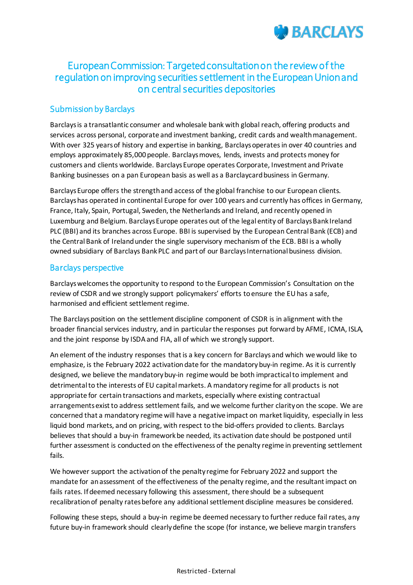

## European Commission: Targeted consultation on the review of the regulation on improving securities settlement in the European Union and on central securities depositories

## Submission by Barclays

Barclays is a transatlantic consumer and wholesale bank with global reach, offering products and services across personal, corporate and investment banking, credit cards and wealth management. With over 325 years of history and expertise in banking, Barclays operates in over 40 countries and employs approximately 85,000 people. Barclays moves, lends, invests and protects money for customers and clients worldwide. Barclays Europe operates Corporate, Investment and Private Banking businesses on a pan European basis as well as a Barclaycard business in Germany.

Barclays Europe offers the strength and access of the global franchise to our European clients. Barclays has operated in continental Europe for over 100 years and currently has offices in Germany, France, Italy, Spain, Portugal, Sweden, the Netherlands and Ireland, and recently opened in Luxemburg and Belgium. Barclays Europe operates out of the legal entity of Barclays Bank Ireland PLC (BBI) and its branches across Europe. BBI is supervised by the European Central Bank (ECB) and the Central Bank of Ireland under the single supervisory mechanism of the ECB. BBI is a wholly owned subsidiary of Barclays Bank PLC and part of our Barclays International business division.

## Barclays perspective

Barclays welcomes the opportunity to respond to the European Commission's Consultation on the review of CSDR and we strongly support policymakers' efforts to ensure the EU has a safe, harmonised and efficient settlement regime.

The Barclays position on the settlement discipline component of CSDR is in alignment with the broader financial services industry, and in particular the responses put forward by AFME, ICMA, ISLA, and the joint response by ISDA and FIA, all of which we strongly support.

An element of the industry responses that is a key concern for Barclays and which we would like to emphasize, is the February 2022 activation date for the mandatory buy-in regime. As it is currently designed, we believe the mandatory buy-in regime would be both impractical to implement and detrimental to the interests of EU capital markets. A mandatory regime for all products is not appropriate for certain transactions and markets, especially where existing contractual arrangements exist to address settlement fails, and we welcome further clarity on the scope. We are concerned that a mandatory regime will have a negative impact on market liquidity, especially in less liquid bond markets, and on pricing, with respect to the bid-offers provided to clients. Barclays believes that should a buy-in framework be needed, its activation date should be postponed until further assessment is conducted on the effectiveness of the penalty regime in preventing settlement fails.

We however support the activation of the penalty regime for February 2022 and support the mandate for an assessment of the effectiveness of the penalty regime, and the resultant impact on fails rates. If deemed necessary following this assessment, there should be a subsequent recalibration of penalty rates before any additional settlement discipline measures be considered.

Following these steps, should a buy-in regime be deemed necessary to further reduce fail rates, any future buy-in framework should clearly define the scope (for instance, we believe margin transfers